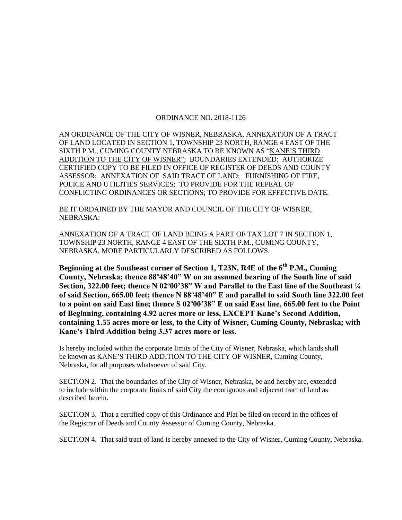## ORDINANCE NO. 2018-1126

AN ORDINANCE OF THE CITY OF WISNER, NEBRASKA, ANNEXATION OF A TRACT OF LAND LOCATED IN SECTION 1, TOWNSHIP 23 NORTH, RANGE 4 EAST OF THE SIXTH P.M., CUMING COUNTY NEBRASKA TO BE KNOWN AS "KANE'S THIRD ADDITION TO THE CITY OF WISNER"; BOUNDARIES EXTENDED; AUTHORIZE CERTIFIED COPY TO BE FILED IN OFFICE OF REGISTER OF DEEDS AND COUNTY ASSESSOR; ANNEXATION OF SAID TRACT OF LAND; FURNISHING OF FIRE, POLICE AND UTILITIES SERVICES; TO PROVIDE FOR THE REPEAL OF CONFLICTING ORDINANCES OR SECTIONS; TO PROVIDE FOR EFFECTIVE DATE.

BE IT ORDAINED BY THE MAYOR AND COUNCIL OF THE CITY OF WISNER, NEBRASKA:

ANNEXATION OF A TRACT OF LAND BEING A PART OF TAX LOT 7 IN SECTION 1, TOWNSHIP 23 NORTH, RANGE 4 EAST OF THE SIXTH P.M., CUMING COUNTY, NEBRASKA, MORE PARTICULARLY DESCRIBED AS FOLLOWS:

**Beginning at the Southeast corner of Section 1, T23N, R4E of the 6th P.M., Cuming County, Nebraska; thence 88º48'40" W on an assumed bearing of the South line of said Section, 322.00 feet; thence N 02º00'38" W and Parallel to the East line of the Southeast ¼ of said Section, 665.00 feet; thence N 88º48'40" E and parallel to said South line 322.00 feet to a point on said East line; thence S 02º00'38" E on said East line, 665.00 feet to the Point of Beginning, containing 4.92 acres more or less, EXCEPT Kane's Second Addition, containing 1.55 acres more or less, to the City of Wisner, Cuming County, Nebraska; with Kane's Third Addition being 3.37 acres more or less.** 

Is hereby included within the corporate limits of the City of Wisner, Nebraska, which lands shall be known as KANE'S THIRD ADDITION TO THE CITY OF WISNER, Cuming County, Nebraska, for all purposes whatsoever of said City.

SECTION 2. That the boundaries of the City of Wisner, Nebraska, be and hereby are, extended to include within the corporate limits of said City the contiguous and adjacent tract of land as described herein.

SECTION 3. That a certified copy of this Ordinance and Plat be filed on record in the offices of the Registrar of Deeds and County Assessor of Cuming County, Nebraska.

SECTION 4. That said tract of land is hereby annexed to the City of Wisner, Cuming County, Nebraska.